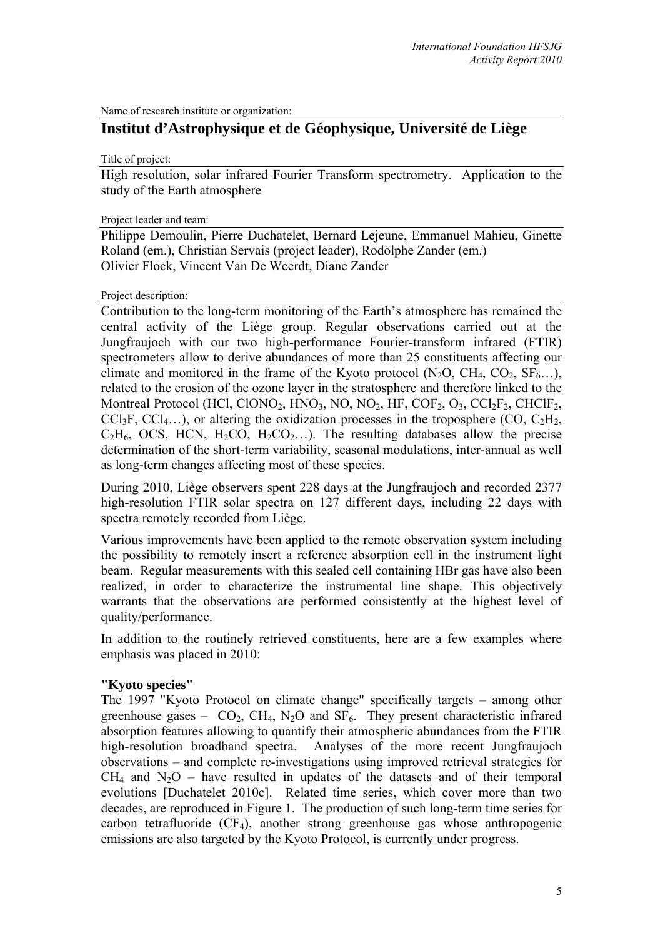Name of research institute or organization:

# **Institut d'Astrophysique et de Géophysique, Université de Liège**

Title of project:

High resolution, solar infrared Fourier Transform spectrometry. Application to the study of the Earth atmosphere

#### Project leader and team:

Philippe Demoulin, Pierre Duchatelet, Bernard Lejeune, Emmanuel Mahieu, Ginette Roland (em.), Christian Servais (project leader), Rodolphe Zander (em.) Olivier Flock, Vincent Van De Weerdt, Diane Zander

#### Project description:

Contribution to the long-term monitoring of the Earth's atmosphere has remained the central activity of the Liège group. Regular observations carried out at the Jungfraujoch with our two high-performance Fourier-transform infrared (FTIR) spectrometers allow to derive abundances of more than 25 constituents affecting our climate and monitored in the frame of the Kyoto protocol  $(N_2O, CH_4, CO_2, SF_6...),$ related to the erosion of the ozone layer in the stratosphere and therefore linked to the Montreal Protocol (HCl, ClONO<sub>2</sub>, HNO<sub>3</sub>, NO, NO<sub>2</sub>, HF, COF<sub>2</sub>, O<sub>3</sub>, CCl<sub>2</sub>F<sub>2</sub>, CHClF<sub>2</sub>, CCl<sub>3</sub>F, CCl<sub>4…</sub>), or altering the oxidization processes in the troposphere (CO, C<sub>2</sub>H<sub>2</sub>,  $C_2H_6$ , OCS, HCN,  $H_2CO$ ,  $H_2CO_2...$ ). The resulting databases allow the precise determination of the short-term variability, seasonal modulations, inter-annual as well as long-term changes affecting most of these species.

During 2010, Liège observers spent 228 days at the Jungfraujoch and recorded 2377 high-resolution FTIR solar spectra on 127 different days, including 22 days with spectra remotely recorded from Liège.

Various improvements have been applied to the remote observation system including the possibility to remotely insert a reference absorption cell in the instrument light beam. Regular measurements with this sealed cell containing HBr gas have also been realized, in order to characterize the instrumental line shape. This objectively warrants that the observations are performed consistently at the highest level of quality/performance.

In addition to the routinely retrieved constituents, here are a few examples where emphasis was placed in 2010:

## **"Kyoto species"**

The 1997 "Kyoto Protocol on climate change" specifically targets – among other greenhouse gases –  $CO<sub>2</sub>$ , CH<sub>4</sub>, N<sub>2</sub>O and SF<sub>6</sub>. They present characteristic infrared absorption features allowing to quantify their atmospheric abundances from the FTIR high-resolution broadband spectra. Analyses of the more recent Jungfraujoch observations – and complete re-investigations using improved retrieval strategies for  $CH<sub>4</sub>$  and  $N<sub>2</sub>O$  – have resulted in updates of the datasets and of their temporal evolutions [Duchatelet 2010c]. Related time series, which cover more than two decades, are reproduced in Figure 1. The production of such long-term time series for carbon tetrafluoride  $(CF_4)$ , another strong greenhouse gas whose anthropogenic emissions are also targeted by the Kyoto Protocol, is currently under progress.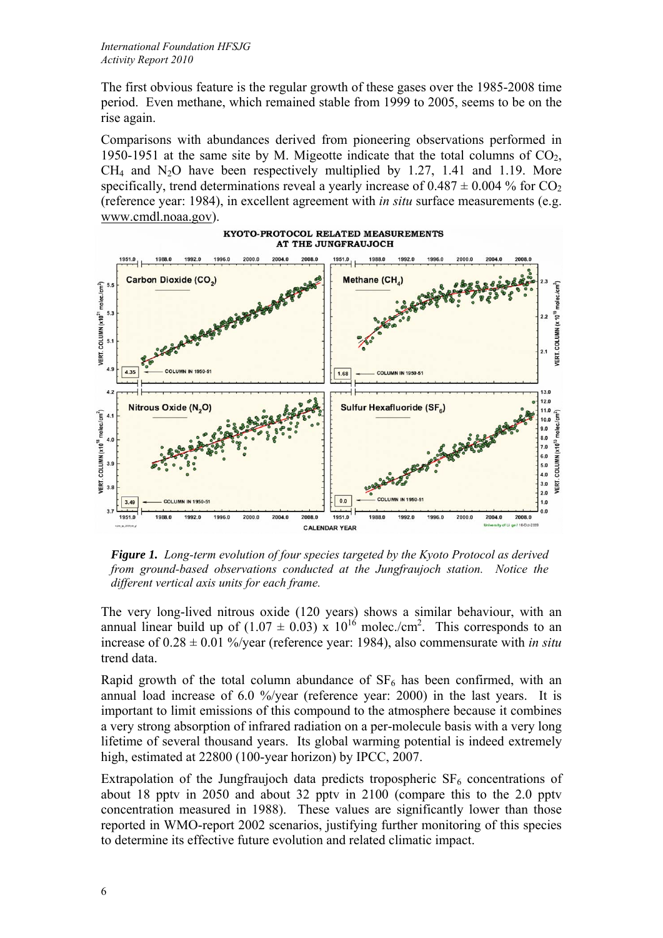The first obvious feature is the regular growth of these gases over the 1985-2008 time period. Even methane, which remained stable from 1999 to 2005, seems to be on the rise again.

Comparisons with abundances derived from pioneering observations performed in 1950-1951 at the same site by M. Migeotte indicate that the total columns of  $CO<sub>2</sub>$ ,  $CH<sub>4</sub>$  and N<sub>2</sub>O have been respectively multiplied by 1.27, 1.41 and 1.19. More specifically, trend determinations reveal a yearly increase of  $0.487 \pm 0.004$  % for CO<sub>2</sub> (reference year: 1984), in excellent agreement with *in situ* surface measurements (e.g. www.cmdl.noaa.gov).



*Figure 1. Long-term evolution of four species targeted by the Kyoto Protocol as derived from ground-based observations conducted at the Jungfraujoch station. Notice the different vertical axis units for each frame.* 

The very long-lived nitrous oxide (120 years) shows a similar behaviour, with an annual linear build up of  $(1.07 \pm 0.03) \times 10^{16}$  molec./cm<sup>2</sup>. This corresponds to an increase of 0.28 ± 0.01 %/year (reference year: 1984), also commensurate with *in situ* trend data.

Rapid growth of the total column abundance of  $SF<sub>6</sub>$  has been confirmed, with an annual load increase of 6.0 %/year (reference year: 2000) in the last years. It is important to limit emissions of this compound to the atmosphere because it combines a very strong absorption of infrared radiation on a per-molecule basis with a very long lifetime of several thousand years. Its global warming potential is indeed extremely high, estimated at 22800 (100-year horizon) by IPCC, 2007.

Extrapolation of the Jungfraujoch data predicts tropospheric  $SF<sub>6</sub>$  concentrations of about 18 pptv in 2050 and about 32 pptv in 2100 (compare this to the 2.0 pptv concentration measured in 1988). These values are significantly lower than those reported in WMO-report 2002 scenarios, justifying further monitoring of this species to determine its effective future evolution and related climatic impact.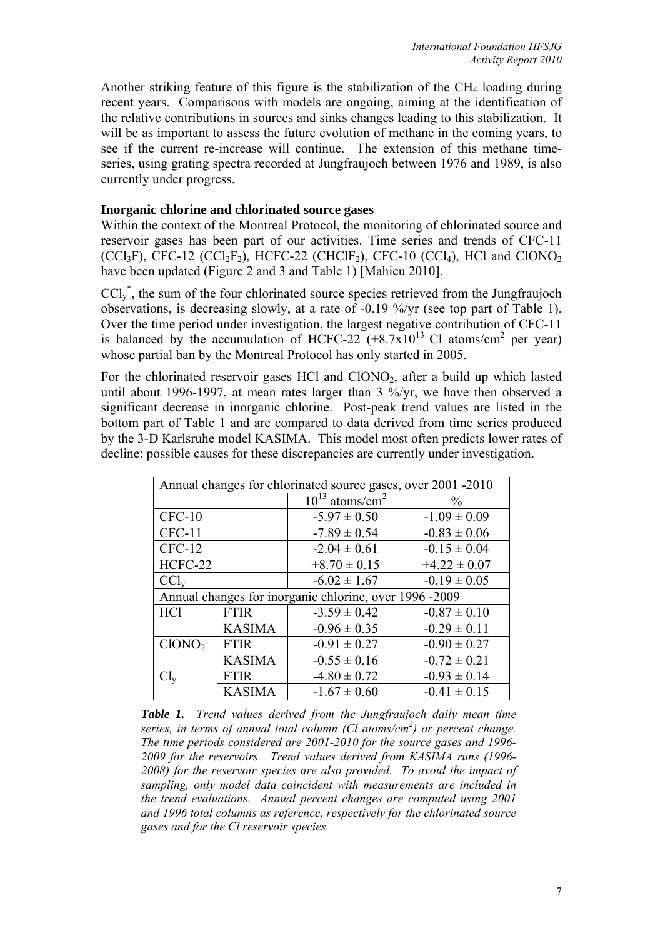Another striking feature of this figure is the stabilization of the  $CH<sub>4</sub>$  loading during recent years. Comparisons with models are ongoing, aiming at the identification of the relative contributions in sources and sinks changes leading to this stabilization. It will be as important to assess the future evolution of methane in the coming years, to see if the current re-increase will continue. The extension of this methane timeseries, using grating spectra recorded at Jungfraujoch between 1976 and 1989, is also currently under progress.

# **Inorganic chlorine and chlorinated source gases**

Within the context of the Montreal Protocol, the monitoring of chlorinated source and reservoir gases has been part of our activities. Time series and trends of CFC-11  $(CCl_3F)$ , CFC-12  $(CCl_2F_2)$ , HCFC-22  $(CHClF_2)$ , CFC-10  $(CCl_4)$ , HCl and ClONO<sub>2</sub> have been updated (Figure 2 and 3 and Table 1) [Mahieu 2010].

 $\text{CCl}_y^*$ , the sum of the four chlorinated source species retrieved from the Jungfraujoch observations, is decreasing slowly, at a rate of -0.19 %/yr (see top part of Table 1). Over the time period under investigation, the largest negative contribution of CFC-11 is balanced by the accumulation of HCFC-22  $(+8.7x10^{13}$  Cl atoms/cm<sup>2</sup> per year) whose partial ban by the Montreal Protocol has only started in 2005.

For the chlorinated reservoir gases HCl and  $CIONO<sub>2</sub>$ , after a build up which lasted until about 1996-1997, at mean rates larger than 3 %/yr, we have then observed a significant decrease in inorganic chlorine. Post-peak trend values are listed in the bottom part of Table 1 and are compared to data derived from time series produced by the 3-D Karlsruhe model KASIMA. This model most often predicts lower rates of decline: possible causes for these discrepancies are currently under investigation.

| Annual changes for chlorinated source gases, over 2001 -2010 |               |                                 |                  |  |
|--------------------------------------------------------------|---------------|---------------------------------|------------------|--|
|                                                              |               | $10^{13}$ atoms/cm <sup>2</sup> | $\frac{0}{0}$    |  |
| $CFC-10$                                                     |               | $-5.97 \pm 0.50$                | $-1.09 \pm 0.09$ |  |
| <b>CFC-11</b>                                                |               | $-7.89 \pm 0.54$                | $-0.83 \pm 0.06$ |  |
| <b>CFC-12</b>                                                |               | $-2.04 \pm 0.61$                | $-0.15 \pm 0.04$ |  |
| HCFC-22                                                      |               | $+8.70 \pm 0.15$                | $+4.22 \pm 0.07$ |  |
| $CCl_{v}$                                                    |               | $-6.02 \pm 1.67$                | $-0.19 \pm 0.05$ |  |
| Annual changes for inorganic chlorine, over 1996 -2009       |               |                                 |                  |  |
| <b>HCl</b>                                                   | <b>FTIR</b>   | $-3.59 \pm 0.42$                | $-0.87 \pm 0.10$ |  |
|                                                              | <b>KASIMA</b> | $-0.96 \pm 0.35$                | $-0.29 \pm 0.11$ |  |
| CIONO <sub>2</sub>                                           | <b>FTIR</b>   | $-0.91 \pm 0.27$                | $-0.90 \pm 0.27$ |  |
|                                                              | <b>KASIMA</b> | $-0.55 \pm 0.16$                | $-0.72 \pm 0.21$ |  |
| $Cl_{v}$                                                     | <b>FTIR</b>   | $-4.80 \pm 0.72$                | $-0.93 \pm 0.14$ |  |
|                                                              | <b>KASIMA</b> | $-1.67 \pm 0.60$                | $-0.41 \pm 0.15$ |  |

*Table 1. Trend values derived from the Jungfraujoch daily mean time series, in terms of annual total column (Cl atoms/cm<sup>2</sup> ) or percent change. The time periods considered are 2001-2010 for the source gases and 1996- 2009 for the reservoirs. Trend values derived from KASIMA runs (1996- 2008) for the reservoir species are also provided. To avoid the impact of sampling, only model data coincident with measurements are included in the trend evaluations. Annual percent changes are computed using 2001 and 1996 total columns as reference, respectively for the chlorinated source gases and for the Cl reservoir species.*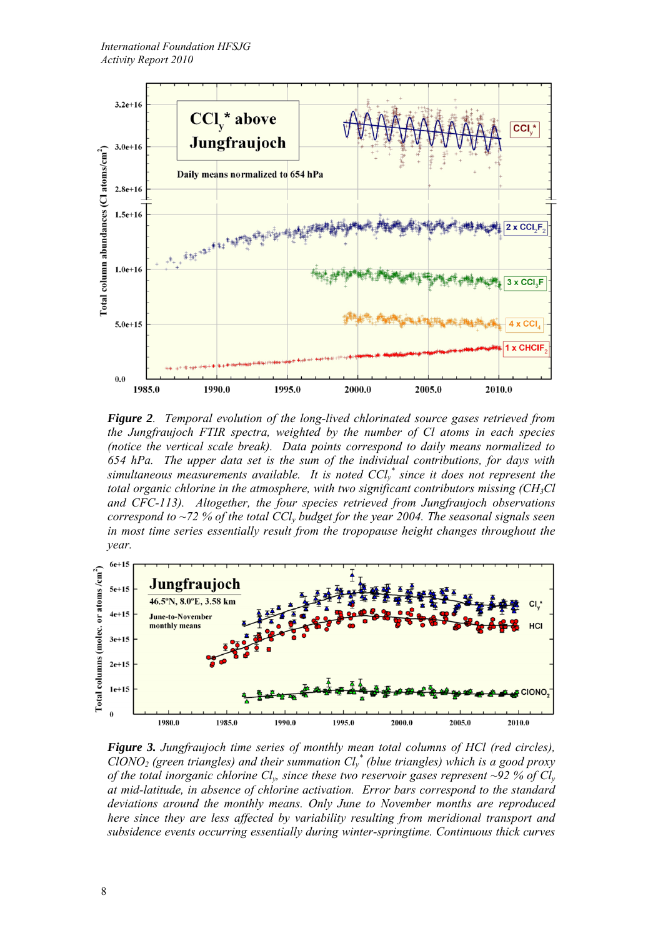

*Figure 2. Temporal evolution of the long-lived chlorinated source gases retrieved from the Jungfraujoch FTIR spectra, weighted by the number of Cl atoms in each species (notice the vertical scale break). Data points correspond to daily means normalized to 654 hPa. The upper data set is the sum of the individual contributions, for days with simultaneous measurements available. It is noted*  $CCl<sub>y</sub><sup>*</sup>$  *since it does not represent the total organic chlorine in the atmosphere, with two significant contributors missing (CH<sub>3</sub>Cl) and CFC-113). Altogether, the four species retrieved from Jungfraujoch observations correspond to ~72 % of the total CCly budget for the year 2004. The seasonal signals seen in most time series essentially result from the tropopause height changes throughout the year.* 



*Figure 3. Jungfraujoch time series of monthly mean total columns of HCl (red circles), ClONO2 (green triangles) and their summation Cly \* (blue triangles) which is a good proxy of the total inorganic chlorine Cly, since these two reservoir gases represent ~92 % of Cly at mid-latitude, in absence of chlorine activation. Error bars correspond to the standard deviations around the monthly means. Only June to November months are reproduced here since they are less affected by variability resulting from meridional transport and subsidence events occurring essentially during winter-springtime. Continuous thick curves*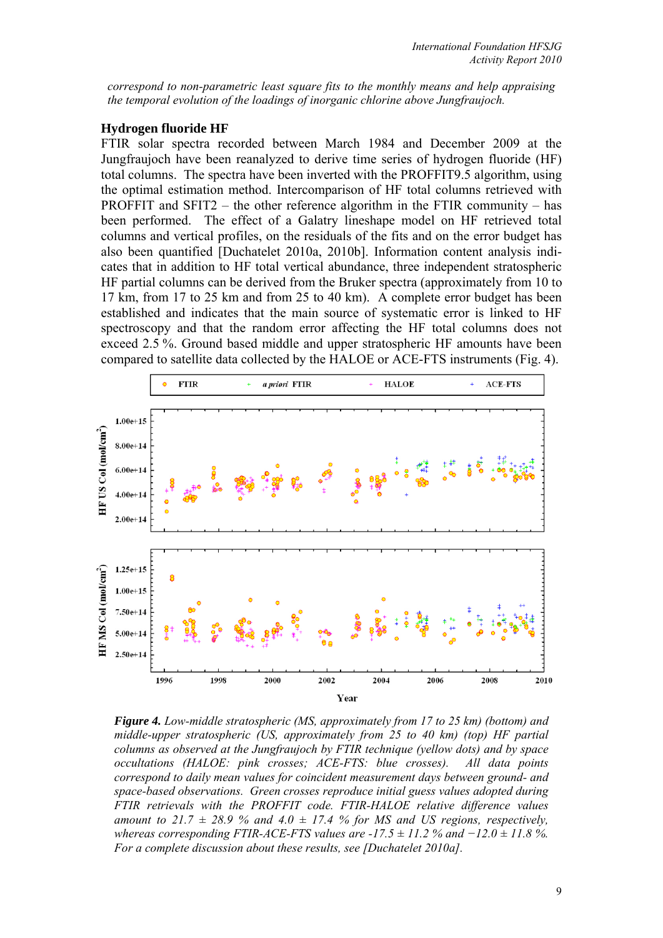*correspond to non-parametric least square fits to the monthly means and help appraising the temporal evolution of the loadings of inorganic chlorine above Jungfraujoch.* 

#### **Hydrogen fluoride HF**

FTIR solar spectra recorded between March 1984 and December 2009 at the Jungfraujoch have been reanalyzed to derive time series of hydrogen fluoride (HF) total columns. The spectra have been inverted with the PROFFIT9.5 algorithm, using the optimal estimation method. Intercomparison of HF total columns retrieved with PROFFIT and SFIT2 – the other reference algorithm in the FTIR community – has been performed. The effect of a Galatry lineshape model on HF retrieved total columns and vertical profiles, on the residuals of the fits and on the error budget has also been quantified [Duchatelet 2010a, 2010b]. Information content analysis indicates that in addition to HF total vertical abundance, three independent stratospheric HF partial columns can be derived from the Bruker spectra (approximately from 10 to 17 km, from 17 to 25 km and from 25 to 40 km). A complete error budget has been established and indicates that the main source of systematic error is linked to HF spectroscopy and that the random error affecting the HF total columns does not exceed 2.5 %. Ground based middle and upper stratospheric HF amounts have been compared to satellite data collected by the HALOE or ACE-FTS instruments (Fig. 4).



*Figure 4. Low-middle stratospheric (MS, approximately from 17 to 25 km) (bottom) and middle-upper stratospheric (US, approximately from 25 to 40 km) (top) HF partial columns as observed at the Jungfraujoch by FTIR technique (yellow dots) and by space occultations (HALOE: pink crosses; ACE-FTS: blue crosses). All data points correspond to daily mean values for coincident measurement days between ground- and space-based observations. Green crosses reproduce initial guess values adopted during FTIR retrievals with the PROFFIT code. FTIR-HALOE relative difference values*  amount to 21.7  $\pm$  28.9 % and 4.0  $\pm$  17.4 % for MS and US regions, respectively, *whereas corresponding FTIR-ACE-FTS values are -17.5 ± 11.2 % and*  $-12.0$  *± 11.8 %. For a complete discussion about these results, see [Duchatelet 2010a].*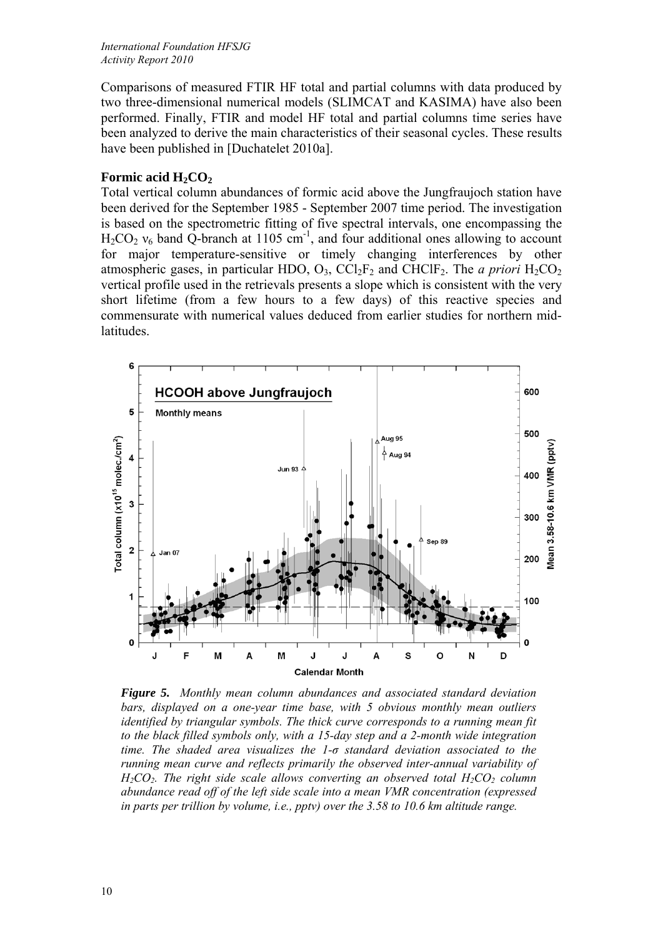Comparisons of measured FTIR HF total and partial columns with data produced by two three-dimensional numerical models (SLIMCAT and KASIMA) have also been performed. Finally, FTIR and model HF total and partial columns time series have been analyzed to derive the main characteristics of their seasonal cycles. These results have been published in [Duchatelet 2010a].

# **Formic acid H<sub>2</sub>CO<sub>2</sub>**

Total vertical column abundances of formic acid above the Jungfraujoch station have been derived for the September 1985 - September 2007 time period. The investigation is based on the spectrometric fitting of five spectral intervals, one encompassing the  $H_2CO_2$   $v_6$  band Q-branch at 1105 cm<sup>-1</sup>, and four additional ones allowing to account for major temperature-sensitive or timely changing interferences by other atmospheric gases, in particular HDO,  $O_3$ ,  $\text{CCl}_2\text{F}_2$  and  $\text{CHClF}_2$ . The *a priori*  $\text{H}_2\text{CO}_2$ vertical profile used in the retrievals presents a slope which is consistent with the very short lifetime (from a few hours to a few days) of this reactive species and commensurate with numerical values deduced from earlier studies for northern midlatitudes.



*Figure 5. Monthly mean column abundances and associated standard deviation bars, displayed on a one-year time base, with 5 obvious monthly mean outliers identified by triangular symbols. The thick curve corresponds to a running mean fit to the black filled symbols only, with a 15-day step and a 2-month wide integration time. The shaded area visualizes the 1-σ standard deviation associated to the running mean curve and reflects primarily the observed inter-annual variability of H<sub>2</sub>CO<sub>2</sub>. The right side scale allows converting an observed total H<sub>2</sub>CO<sub>2</sub> column abundance read off of the left side scale into a mean VMR concentration (expressed in parts per trillion by volume, i.e., pptv) over the 3.58 to 10.6 km altitude range.*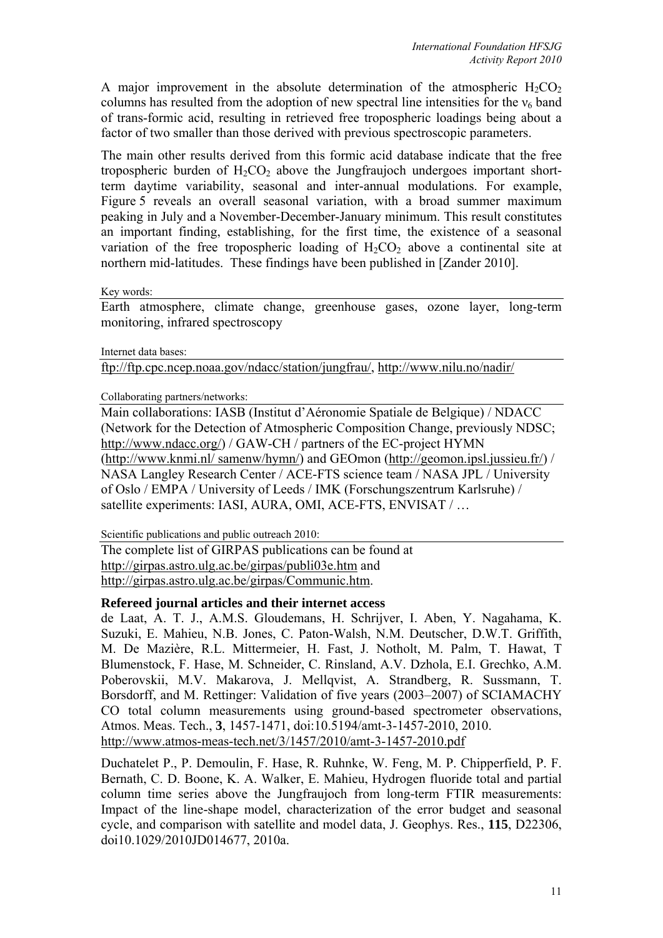A major improvement in the absolute determination of the atmospheric  $H_2CO_2$ columns has resulted from the adoption of new spectral line intensities for the  $v_6$  band of trans-formic acid, resulting in retrieved free tropospheric loadings being about a factor of two smaller than those derived with previous spectroscopic parameters.

The main other results derived from this formic acid database indicate that the free tropospheric burden of  $H_2CO_2$  above the Jungfraujoch undergoes important shortterm daytime variability, seasonal and inter-annual modulations. For example, Figure 5 reveals an overall seasonal variation, with a broad summer maximum peaking in July and a November-December-January minimum. This result constitutes an important finding, establishing, for the first time, the existence of a seasonal variation of the free tropospheric loading of  $H_2CO_2$  above a continental site at northern mid-latitudes. These findings have been published in [Zander 2010].

Key words:

Earth atmosphere, climate change, greenhouse gases, ozone layer, long-term monitoring, infrared spectroscopy

Internet data bases:

ftp://ftp.cpc.ncep.noaa.gov/ndacc/station/jungfrau/, http://www.nilu.no/nadir/

Collaborating partners/networks:

Main collaborations: IASB (Institut d'Aéronomie Spatiale de Belgique) / NDACC (Network for the Detection of Atmospheric Composition Change, previously NDSC; http://www.ndacc.org/) / GAW-CH / partners of the EC-project HYMN (http://www.knmi.nl/ samenw/hymn/) and GEOmon (http://geomon.ipsl.jussieu.fr/) / NASA Langley Research Center / ACE-FTS science team / NASA JPL / University of Oslo / EMPA / University of Leeds / IMK (Forschungszentrum Karlsruhe) / satellite experiments: IASI, AURA, OMI, ACE-FTS, ENVISAT / ...

Scientific publications and public outreach 2010:

The complete list of GIRPAS publications can be found at http://girpas.astro.ulg.ac.be/girpas/publi03e.htm and http://girpas.astro.ulg.ac.be/girpas/Communic.htm.

## **Refereed journal articles and their internet access**

de Laat, A. T. J., A.M.S. Gloudemans, H. Schrijver, I. Aben, Y. Nagahama, K. Suzuki, E. Mahieu, N.B. Jones, C. Paton-Walsh, N.M. Deutscher, D.W.T. Griffith, M. De Mazière, R.L. Mittermeier, H. Fast, J. Notholt, M. Palm, T. Hawat, T Blumenstock, F. Hase, M. Schneider, C. Rinsland, A.V. Dzhola, E.I. Grechko, A.M. Poberovskii, M.V. Makarova, J. Mellqvist, A. Strandberg, R. Sussmann, T. Borsdorff, and M. Rettinger: Validation of five years (2003–2007) of SCIAMACHY CO total column measurements using ground-based spectrometer observations, Atmos. Meas. Tech., **3**, 1457-1471, doi:10.5194/amt-3-1457-2010, 2010. http://www.atmos-meas-tech.net/3/1457/2010/amt-3-1457-2010.pdf

Duchatelet P., P. Demoulin, F. Hase, R. Ruhnke, W. Feng, M. P. Chipperfield, P. F. Bernath, C. D. Boone, K. A. Walker, E. Mahieu, Hydrogen fluoride total and partial column time series above the Jungfraujoch from long-term FTIR measurements: Impact of the line-shape model, characterization of the error budget and seasonal cycle, and comparison with satellite and model data, J. Geophys. Res., **115**, D22306, doi10.1029/2010JD014677, 2010a.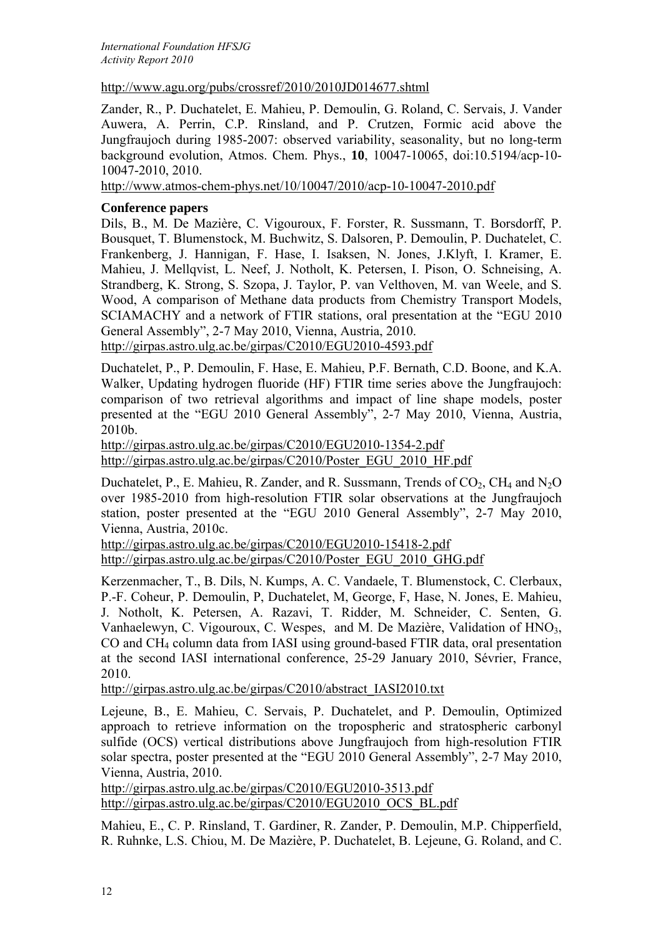*International Foundation HFSJG Activity Report 2010*

# http://www.agu.org/pubs/crossref/2010/2010JD014677.shtml

Zander, R., P. Duchatelet, E. Mahieu, P. Demoulin, G. Roland, C. Servais, J. Vander Auwera, A. Perrin, C.P. Rinsland, and P. Crutzen, Formic acid above the Jungfraujoch during 1985-2007: observed variability, seasonality, but no long-term background evolution, Atmos. Chem. Phys., **10**, 10047-10065, doi:10.5194/acp-10- 10047-2010, 2010.

http://www.atmos-chem-phys.net/10/10047/2010/acp-10-10047-2010.pdf

# **Conference papers**

Dils, B., M. De Mazière, C. Vigouroux, F. Forster, R. Sussmann, T. Borsdorff, P. Bousquet, T. Blumenstock, M. Buchwitz, S. Dalsoren, P. Demoulin, P. Duchatelet, C. Frankenberg, J. Hannigan, F. Hase, I. Isaksen, N. Jones, J.Klyft, I. Kramer, E. Mahieu, J. Mellqvist, L. Neef, J. Notholt, K. Petersen, I. Pison, O. Schneising, A. Strandberg, K. Strong, S. Szopa, J. Taylor, P. van Velthoven, M. van Weele, and S. Wood, A comparison of Methane data products from Chemistry Transport Models, SCIAMACHY and a network of FTIR stations, oral presentation at the "EGU 2010 General Assembly", 2-7 May 2010, Vienna, Austria, 2010.

http://girpas.astro.ulg.ac.be/girpas/C2010/EGU2010-4593.pdf

Duchatelet, P., P. Demoulin, F. Hase, E. Mahieu, P.F. Bernath, C.D. Boone, and K.A. Walker, Updating hydrogen fluoride (HF) FTIR time series above the Jungfraujoch: comparison of two retrieval algorithms and impact of line shape models, poster presented at the "EGU 2010 General Assembly", 2-7 May 2010, Vienna, Austria, 2010b.

http://girpas.astro.ulg.ac.be/girpas/C2010/EGU2010-1354-2.pdf http://girpas.astro.ulg.ac.be/girpas/C2010/Poster\_EGU\_2010\_HF.pdf

Duchatelet, P., E. Mahieu, R. Zander, and R. Sussmann, Trends of  $CO<sub>2</sub>$ , CH<sub>4</sub> and N<sub>2</sub>O over 1985-2010 from high-resolution FTIR solar observations at the Jungfraujoch station, poster presented at the "EGU 2010 General Assembly", 2-7 May 2010, Vienna, Austria, 2010c.

http://girpas.astro.ulg.ac.be/girpas/C2010/EGU2010-15418-2.pdf http://girpas.astro.ulg.ac.be/girpas/C2010/Poster\_EGU\_2010\_GHG.pdf

Kerzenmacher, T., B. Dils, N. Kumps, A. C. Vandaele, T. Blumenstock, C. Clerbaux, P.-F. Coheur, P. Demoulin, P, Duchatelet, M, George, F, Hase, N. Jones, E. Mahieu, J. Notholt, K. Petersen, A. Razavi, T. Ridder, M. Schneider, C. Senten, G. Vanhaelewyn, C. Vigouroux, C. Wespes, and M. De Mazière, Validation of HNO<sub>3</sub>, CO and CH4 column data from IASI using ground-based FTIR data, oral presentation at the second IASI international conference, 25-29 January 2010, Sévrier, France, 2010.

http://girpas.astro.ulg.ac.be/girpas/C2010/abstract\_IASI2010.txt

Lejeune, B., E. Mahieu, C. Servais, P. Duchatelet, and P. Demoulin, Optimized approach to retrieve information on the tropospheric and stratospheric carbonyl sulfide (OCS) vertical distributions above Jungfraujoch from high-resolution FTIR solar spectra, poster presented at the "EGU 2010 General Assembly", 2-7 May 2010, Vienna, Austria, 2010.

http://girpas.astro.ulg.ac.be/girpas/C2010/EGU2010-3513.pdf http://girpas.astro.ulg.ac.be/girpas/C2010/EGU2010\_OCS\_BL.pdf

Mahieu, E., C. P. Rinsland, T. Gardiner, R. Zander, P. Demoulin, M.P. Chipperfield, R. Ruhnke, L.S. Chiou, M. De Mazière, P. Duchatelet, B. Lejeune, G. Roland, and C.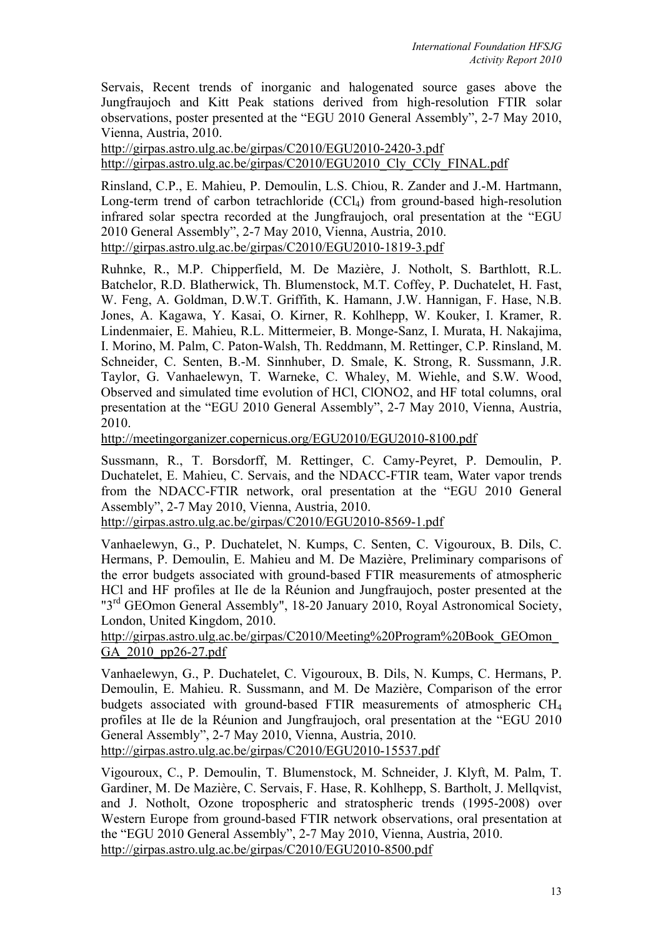Servais, Recent trends of inorganic and halogenated source gases above the Jungfraujoch and Kitt Peak stations derived from high-resolution FTIR solar observations, poster presented at the "EGU 2010 General Assembly", 2-7 May 2010, Vienna, Austria, 2010.

http://girpas.astro.ulg.ac.be/girpas/C2010/EGU2010-2420-3.pdf http://girpas.astro.ulg.ac.be/girpas/C2010/EGU2010\_Cly\_CCly\_FINAL.pdf

Rinsland, C.P., E. Mahieu, P. Demoulin, L.S. Chiou, R. Zander and J.-M. Hartmann, Long-term trend of carbon tetrachloride  $(CCl<sub>4</sub>)$  from ground-based high-resolution infrared solar spectra recorded at the Jungfraujoch, oral presentation at the "EGU 2010 General Assembly", 2-7 May 2010, Vienna, Austria, 2010. http://girpas.astro.ulg.ac.be/girpas/C2010/EGU2010-1819-3.pdf

Ruhnke, R., M.P. Chipperfield, M. De Mazière, J. Notholt, S. Barthlott, R.L. Batchelor, R.D. Blatherwick, Th. Blumenstock, M.T. Coffey, P. Duchatelet, H. Fast, W. Feng, A. Goldman, D.W.T. Griffith, K. Hamann, J.W. Hannigan, F. Hase, N.B. Jones, A. Kagawa, Y. Kasai, O. Kirner, R. Kohlhepp, W. Kouker, I. Kramer, R. Lindenmaier, E. Mahieu, R.L. Mittermeier, B. Monge-Sanz, I. Murata, H. Nakajima, I. Morino, M. Palm, C. Paton-Walsh, Th. Reddmann, M. Rettinger, C.P. Rinsland, M. Schneider, C. Senten, B.-M. Sinnhuber, D. Smale, K. Strong, R. Sussmann, J.R. Taylor, G. Vanhaelewyn, T. Warneke, C. Whaley, M. Wiehle, and S.W. Wood, Observed and simulated time evolution of HCl, ClONO2, and HF total columns, oral presentation at the "EGU 2010 General Assembly", 2-7 May 2010, Vienna, Austria, 2010.

http://meetingorganizer.copernicus.org/EGU2010/EGU2010-8100.pdf

Sussmann, R., T. Borsdorff, M. Rettinger, C. Camy-Peyret, P. Demoulin, P. Duchatelet, E. Mahieu, C. Servais, and the NDACC-FTIR team, Water vapor trends from the NDACC-FTIR network, oral presentation at the "EGU 2010 General Assembly", 2-7 May 2010, Vienna, Austria, 2010.

http://girpas.astro.ulg.ac.be/girpas/C2010/EGU2010-8569-1.pdf

Vanhaelewyn, G., P. Duchatelet, N. Kumps, C. Senten, C. Vigouroux, B. Dils, C. Hermans, P. Demoulin, E. Mahieu and M. De Mazière, Preliminary comparisons of the error budgets associated with ground-based FTIR measurements of atmospheric HCl and HF profiles at Ile de la Réunion and Jungfraujoch, poster presented at the "3<sup>rd</sup> GEOmon General Assembly", 18-20 January 2010, Royal Astronomical Society, London, United Kingdom, 2010.

http://girpas.astro.ulg.ac.be/girpas/C2010/Meeting%20Program%20Book\_GEOmon\_ GA\_2010\_pp26-27.pdf

Vanhaelewyn, G., P. Duchatelet, C. Vigouroux, B. Dils, N. Kumps, C. Hermans, P. Demoulin, E. Mahieu. R. Sussmann, and M. De Mazière, Comparison of the error budgets associated with ground-based FTIR measurements of atmospheric CH4 profiles at Ile de la Réunion and Jungfraujoch, oral presentation at the "EGU 2010 General Assembly", 2-7 May 2010, Vienna, Austria, 2010.

http://girpas.astro.ulg.ac.be/girpas/C2010/EGU2010-15537.pdf

Vigouroux, C., P. Demoulin, T. Blumenstock, M. Schneider, J. Klyft, M. Palm, T. Gardiner, M. De Mazière, C. Servais, F. Hase, R. Kohlhepp, S. Bartholt, J. Mellqvist, and J. Notholt, Ozone tropospheric and stratospheric trends (1995-2008) over Western Europe from ground-based FTIR network observations, oral presentation at the "EGU 2010 General Assembly", 2-7 May 2010, Vienna, Austria, 2010. http://girpas.astro.ulg.ac.be/girpas/C2010/EGU2010-8500.pdf